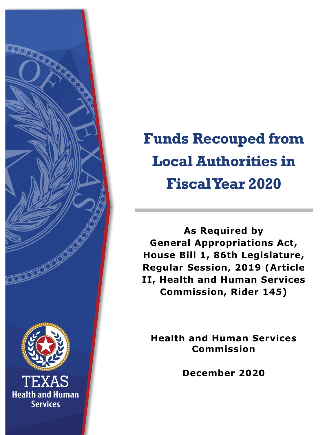

# **Funds Recouped from Local Authorities in Fiscal Year 2020**

**As Required by General Appropriations Act, House Bill 1, 86th Legislature, Regular Session, 2019 (Article II, Health and Human Services Commission, Rider 145)**

**Health and Human Services Commission**

**December 2020**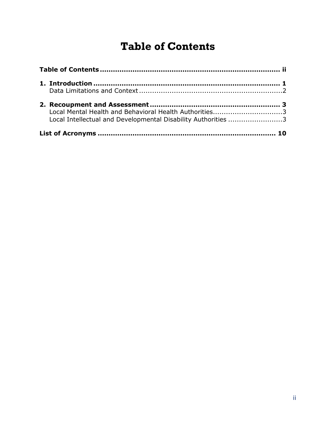## <span id="page-1-0"></span>**Table of Contents**

| Local Mental Health and Behavioral Health Authorities3<br>Local Intellectual and Developmental Disability Authorities 3 |  |  |
|-------------------------------------------------------------------------------------------------------------------------|--|--|
|                                                                                                                         |  |  |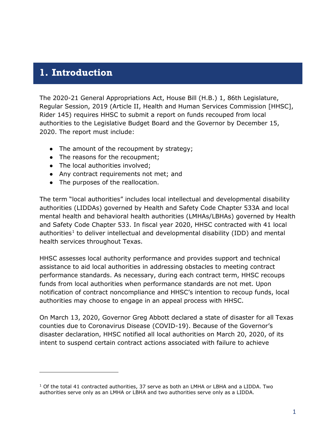#### <span id="page-2-0"></span>**1. Introduction**

l

The 2020-21 General Appropriations Act, House Bill (H.B.) 1, 86th Legislature, Regular Session, 2019 (Article II, Health and Human Services Commission [HHSC], Rider 145) requires HHSC to submit a report on funds recouped from local authorities to the Legislative Budget Board and the Governor by December 15, 2020. The report must include:

- The amount of the recoupment by strategy;
- The reasons for the recoupment;
- The local authorities involved;
- Any contract requirements not met; and
- The purposes of the reallocation.

The term "local authorities" includes local intellectual and developmental disability authorities (LIDDAs) governed by Health and Safety Code Chapter 533A and local mental health and behavioral health authorities (LMHAs/LBHAs) governed by Health and Safety Code Chapter 533. In fiscal year 2020, HHSC contracted with 41 local authorities<sup>[1](#page-2-1)</sup> to deliver intellectual and developmental disability (IDD) and mental health services throughout Texas.

HHSC assesses local authority performance and provides support and technical assistance to aid local authorities in addressing obstacles to meeting contract performance standards. As necessary, during each contract term, HHSC recoups funds from local authorities when performance standards are not met. Upon notification of contract noncompliance and HHSC's intention to recoup funds, local authorities may choose to engage in an appeal process with HHSC.

On March 13, 2020, Governor Greg Abbott declared a state of disaster for all Texas counties due to Coronavirus Disease (COVID-19). Because of the Governor's disaster declaration, HHSC notified all local authorities on March 20, 2020, of its intent to suspend certain contract actions associated with failure to achieve

<span id="page-2-1"></span><sup>&</sup>lt;sup>1</sup> Of the total 41 contracted authorities, 37 serve as both an LMHA or LBHA and a LIDDA. Two authorities serve only as an LMHA or LBHA and two authorities serve only as a LIDDA.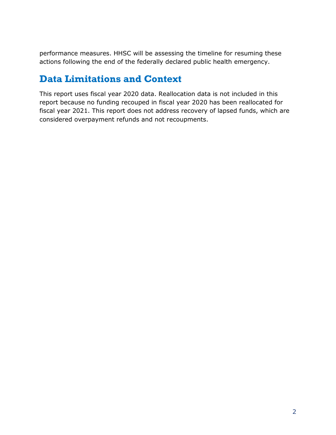performance measures. HHSC will be assessing the timeline for resuming these actions following the end of the federally declared public health emergency.

#### <span id="page-3-0"></span>**Data Limitations and Context**

This report uses fiscal year 2020 data. Reallocation data is not included in this report because no funding recouped in fiscal year 2020 has been reallocated for fiscal year 2021. This report does not address recovery of lapsed funds, which are considered overpayment refunds and not recoupments.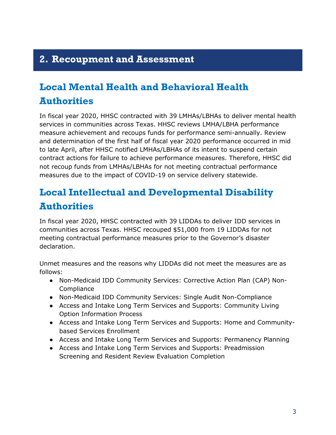### <span id="page-4-0"></span>**2. Recoupment and Assessment**

## <span id="page-4-1"></span>**Local Mental Health and Behavioral Health Authorities**

In fiscal year 2020, HHSC contracted with 39 LMHAs/LBHAs to deliver mental health services in communities across Texas. HHSC reviews LMHA/LBHA performance measure achievement and recoups funds for performance semi-annually. Review and determination of the first half of fiscal year 2020 performance occurred in mid to late April, after HHSC notified LMHAs/LBHAs of its intent to suspend certain contract actions for failure to achieve performance measures. Therefore, HHSC did not recoup funds from LMHAs/LBHAs for not meeting contractual performance measures due to the impact of COVID-19 on service delivery statewide.

## <span id="page-4-2"></span>**Local Intellectual and Developmental Disability Authorities**

In fiscal year 2020, HHSC contracted with 39 LIDDAs to deliver IDD services in communities across Texas. HHSC recouped \$51,000 from 19 LIDDAs for not meeting contractual performance measures prior to the Governor's disaster declaration.

Unmet measures and the reasons why LIDDAs did not meet the measures are as follows:

- Non-Medicaid IDD Community Services: Corrective Action Plan (CAP) Non-**Compliance**
- Non-Medicaid IDD Community Services: Single Audit Non-Compliance
- Access and Intake Long Term Services and Supports: Community Living Option Information Process
- Access and Intake Long Term Services and Supports: Home and Communitybased Services Enrollment
- Access and Intake Long Term Services and Supports: Permanency Planning
- Access and Intake Long Term Services and Supports: Preadmission Screening and Resident Review Evaluation Completion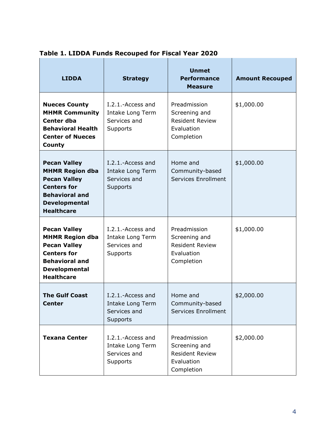| <b>LIDDA</b>                                                                                                                                                     | <b>Strategy</b>                                                   | <b>Unmet</b><br><b>Performance</b><br><b>Measure</b>                                | <b>Amount Recouped</b> |
|------------------------------------------------------------------------------------------------------------------------------------------------------------------|-------------------------------------------------------------------|-------------------------------------------------------------------------------------|------------------------|
| <b>Nueces County</b><br><b>MHMR Community</b><br><b>Center dba</b><br><b>Behavioral Health</b><br><b>Center of Nueces</b><br>County                              | I.2.1.-Access and<br>Intake Long Term<br>Services and<br>Supports | Preadmission<br>Screening and<br><b>Resident Review</b><br>Evaluation<br>Completion | \$1,000.00             |
| <b>Pecan Valley</b><br><b>MHMR Region dba</b><br><b>Pecan Valley</b><br><b>Centers for</b><br><b>Behavioral and</b><br><b>Developmental</b><br><b>Healthcare</b> | I.2.1.-Access and<br>Intake Long Term<br>Services and<br>Supports | Home and<br>Community-based<br><b>Services Enrollment</b>                           | \$1,000.00             |
| <b>Pecan Valley</b><br><b>MHMR Region dba</b><br><b>Pecan Valley</b><br><b>Centers for</b><br><b>Behavioral and</b><br><b>Developmental</b><br><b>Healthcare</b> | I.2.1.-Access and<br>Intake Long Term<br>Services and<br>Supports | Preadmission<br>Screening and<br><b>Resident Review</b><br>Evaluation<br>Completion | \$1,000.00             |
| <b>The Gulf Coast</b><br>Center                                                                                                                                  | I.2.1.-Access and<br>Intake Long Term<br>Services and<br>Supports | Home and<br>Community-based<br>Services Enrollment                                  | \$2,000.00             |
| <b>Texana Center</b>                                                                                                                                             | I.2.1.-Access and<br>Intake Long Term<br>Services and<br>Supports | Preadmission<br>Screening and<br><b>Resident Review</b><br>Evaluation<br>Completion | \$2,000.00             |

#### **Table 1. LIDDA Funds Recouped for Fiscal Year 2020**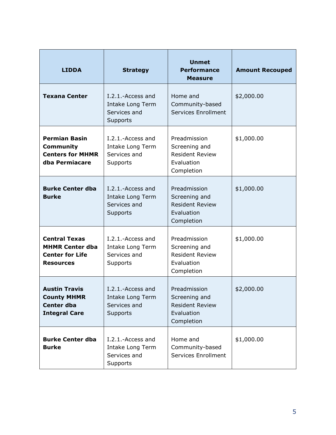| <b>LIDDA</b>                                                                                 | <b>Strategy</b>                                                   | <b>Unmet</b><br><b>Performance</b><br><b>Measure</b>                                | <b>Amount Recouped</b> |
|----------------------------------------------------------------------------------------------|-------------------------------------------------------------------|-------------------------------------------------------------------------------------|------------------------|
| <b>Texana Center</b>                                                                         | I.2.1.-Access and<br>Intake Long Term<br>Services and<br>Supports | Home and<br>Community-based<br>Services Enrollment                                  | \$2,000.00             |
| <b>Permian Basin</b><br><b>Community</b><br><b>Centers for MHMR</b><br>dba Permiacare        | I.2.1.-Access and<br>Intake Long Term<br>Services and<br>Supports | Preadmission<br>Screening and<br><b>Resident Review</b><br>Evaluation<br>Completion | \$1,000.00             |
| <b>Burke Center dba</b><br><b>Burke</b>                                                      | I.2.1.-Access and<br>Intake Long Term<br>Services and<br>Supports | Preadmission<br>Screening and<br><b>Resident Review</b><br>Evaluation<br>Completion | \$1,000.00             |
| <b>Central Texas</b><br><b>MHMR Center dba</b><br><b>Center for Life</b><br><b>Resources</b> | I.2.1.-Access and<br>Intake Long Term<br>Services and<br>Supports | Preadmission<br>Screening and<br><b>Resident Review</b><br>Evaluation<br>Completion | \$1,000.00             |
| <b>Austin Travis</b><br><b>County MHMR</b><br><b>Center dba</b><br><b>Integral Care</b>      | I.2.1.-Access and<br>Intake Long Term<br>Services and<br>Supports | Preadmission<br>Screening and<br><b>Resident Review</b><br>Evaluation<br>Completion | \$2,000.00             |
| <b>Burke Center dba</b><br><b>Burke</b>                                                      | I.2.1.-Access and<br>Intake Long Term<br>Services and<br>Supports | Home and<br>Community-based<br>Services Enrollment                                  | \$1,000.00             |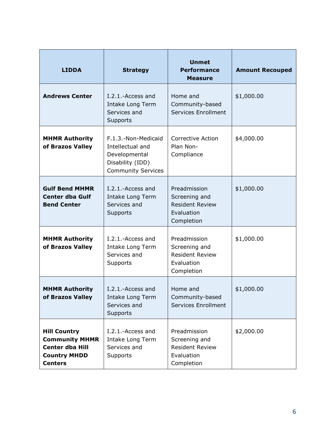| <b>LIDDA</b>                                                                                                    | <b>Strategy</b>                                                                                           | <b>Unmet</b><br><b>Performance</b><br><b>Measure</b>                                | <b>Amount Recouped</b> |
|-----------------------------------------------------------------------------------------------------------------|-----------------------------------------------------------------------------------------------------------|-------------------------------------------------------------------------------------|------------------------|
| <b>Andrews Center</b>                                                                                           | I.2.1.-Access and<br>Intake Long Term<br>Services and<br>Supports                                         | Home and<br>Community-based<br>Services Enrollment                                  | \$1,000.00             |
| <b>MHMR Authority</b><br>of Brazos Valley                                                                       | F.1.3.-Non-Medicaid<br>Intellectual and<br>Developmental<br>Disability (IDD)<br><b>Community Services</b> | <b>Corrective Action</b><br>Plan Non-<br>Compliance                                 | \$4,000.00             |
| <b>Gulf Bend MHMR</b><br><b>Center dba Gulf</b><br><b>Bend Center</b>                                           | I.2.1.-Access and<br>Intake Long Term<br>Services and<br>Supports                                         | Preadmission<br>Screening and<br><b>Resident Review</b><br>Evaluation<br>Completion | \$1,000.00             |
| <b>MHMR Authority</b><br>of Brazos Valley                                                                       | I.2.1.-Access and<br>Intake Long Term<br>Services and<br>Supports                                         | Preadmission<br>Screening and<br><b>Resident Review</b><br>Evaluation<br>Completion | \$1,000.00             |
| <b>MHMR Authority</b><br>of Brazos Valley                                                                       | I.2.1.-Access and<br>Intake Long Term<br>Services and<br>Supports                                         | Home and<br>Community-based<br>Services Enrollment                                  | \$1,000.00             |
| <b>Hill Country</b><br><b>Community MHMR</b><br><b>Center dba Hill</b><br><b>Country MHDD</b><br><b>Centers</b> | I.2.1.-Access and<br>Intake Long Term<br>Services and<br>Supports                                         | Preadmission<br>Screening and<br><b>Resident Review</b><br>Evaluation<br>Completion | \$2,000.00             |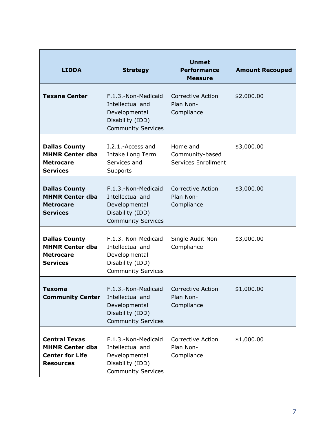| <b>LIDDA</b>                                                                                 | <b>Strategy</b>                                                                                           | <b>Unmet</b><br><b>Performance</b><br><b>Measure</b> | <b>Amount Recouped</b> |
|----------------------------------------------------------------------------------------------|-----------------------------------------------------------------------------------------------------------|------------------------------------------------------|------------------------|
| <b>Texana Center</b>                                                                         | F.1.3.-Non-Medicaid<br>Intellectual and<br>Developmental<br>Disability (IDD)<br><b>Community Services</b> | <b>Corrective Action</b><br>Plan Non-<br>Compliance  | \$2,000.00             |
| <b>Dallas County</b><br><b>MHMR Center dba</b><br><b>Metrocare</b><br><b>Services</b>        | I.2.1.-Access and<br>Intake Long Term<br>Services and<br>Supports                                         | Home and<br>Community-based<br>Services Enrollment   | \$3,000.00             |
| <b>Dallas County</b><br><b>MHMR Center dba</b><br><b>Metrocare</b><br><b>Services</b>        | F.1.3.-Non-Medicaid<br>Intellectual and<br>Developmental<br>Disability (IDD)<br><b>Community Services</b> | <b>Corrective Action</b><br>Plan Non-<br>Compliance  | \$3,000.00             |
| <b>Dallas County</b><br><b>MHMR Center dba</b><br><b>Metrocare</b><br><b>Services</b>        | F.1.3.-Non-Medicaid<br>Intellectual and<br>Developmental<br>Disability (IDD)<br><b>Community Services</b> | Single Audit Non-<br>Compliance                      | \$3,000.00             |
| <b>Texoma</b><br><b>Community Center</b>                                                     | F.1.3.-Non-Medicaid<br>Intellectual and<br>Developmental<br>Disability (IDD)<br><b>Community Services</b> | <b>Corrective Action</b><br>Plan Non-<br>Compliance  | \$1,000.00             |
| <b>Central Texas</b><br><b>MHMR Center dba</b><br><b>Center for Life</b><br><b>Resources</b> | F.1.3.-Non-Medicaid<br>Intellectual and<br>Developmental<br>Disability (IDD)<br><b>Community Services</b> | <b>Corrective Action</b><br>Plan Non-<br>Compliance  | \$1,000.00             |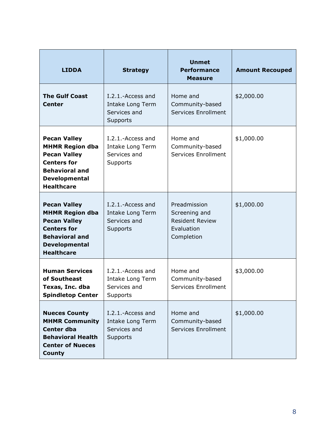| <b>LIDDA</b>                                                                                                                                                     | <b>Strategy</b>                                                   | <b>Unmet</b><br><b>Performance</b><br><b>Measure</b>                                | <b>Amount Recouped</b> |
|------------------------------------------------------------------------------------------------------------------------------------------------------------------|-------------------------------------------------------------------|-------------------------------------------------------------------------------------|------------------------|
| <b>The Gulf Coast</b><br><b>Center</b>                                                                                                                           | I.2.1.-Access and<br>Intake Long Term<br>Services and<br>Supports | Home and<br>Community-based<br>Services Enrollment                                  | \$2,000.00             |
| <b>Pecan Valley</b><br><b>MHMR Region dba</b><br><b>Pecan Valley</b><br><b>Centers for</b><br><b>Behavioral and</b><br><b>Developmental</b><br><b>Healthcare</b> | I.2.1.-Access and<br>Intake Long Term<br>Services and<br>Supports | Home and<br>Community-based<br>Services Enrollment                                  | \$1,000.00             |
| <b>Pecan Valley</b><br><b>MHMR Region dba</b><br><b>Pecan Valley</b><br><b>Centers for</b><br><b>Behavioral and</b><br><b>Developmental</b><br><b>Healthcare</b> | I.2.1.-Access and<br>Intake Long Term<br>Services and<br>Supports | Preadmission<br>Screening and<br><b>Resident Review</b><br>Evaluation<br>Completion | \$1,000.00             |
| <b>Human Services</b><br>of Southeast<br>Texas, Inc. dba<br><b>Spindletop Center</b>                                                                             | I.2.1.-Access and<br>Intake Long Term<br>Services and<br>Supports | Home and<br>Community-based<br>Services Enrollment                                  | \$3,000.00             |
| <b>Nueces County</b><br><b>MHMR Community</b><br><b>Center dba</b><br><b>Behavioral Health</b><br><b>Center of Nueces</b><br><b>County</b>                       | I.2.1.-Access and<br>Intake Long Term<br>Services and<br>Supports | Home and<br>Community-based<br>Services Enrollment                                  | \$1,000.00             |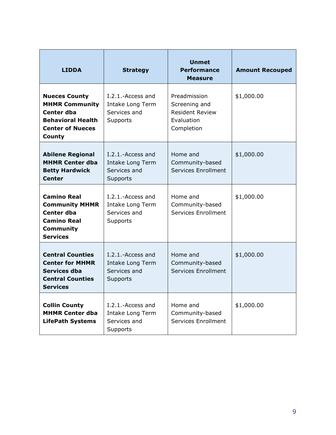| <b>LIDDA</b>                                                                                                                  | <b>Strategy</b>                                                            | <b>Unmet</b><br><b>Performance</b><br><b>Measure</b>                                | <b>Amount Recouped</b> |
|-------------------------------------------------------------------------------------------------------------------------------|----------------------------------------------------------------------------|-------------------------------------------------------------------------------------|------------------------|
| <b>Nueces County</b><br><b>MHMR Community</b><br>Center dba<br><b>Behavioral Health</b><br><b>Center of Nueces</b><br>County  | I.2.1.-Access and<br><b>Intake Long Term</b><br>Services and<br>Supports   | Preadmission<br>Screening and<br><b>Resident Review</b><br>Evaluation<br>Completion | \$1,000.00             |
| <b>Abilene Regional</b><br><b>MHMR Center dba</b><br><b>Betty Hardwick</b><br><b>Center</b>                                   | I.2.1.-Access and<br><b>Intake Long Term</b><br>Services and<br>Supports   | Home and<br>Community-based<br>Services Enrollment                                  | \$1,000.00             |
| <b>Camino Real</b><br><b>Community MHMR</b><br><b>Center dba</b><br><b>Camino Real</b><br><b>Community</b><br><b>Services</b> | I.2.1.-Access and<br>Intake Long Term<br>Services and<br>Supports          | Home and<br>Community-based<br>Services Enrollment                                  | \$1,000.00             |
| <b>Central Counties</b><br><b>Center for MHMR</b><br>Services dba<br><b>Central Counties</b><br><b>Services</b>               | $I.2.1.-Access and$<br><b>Intake Long Term</b><br>Services and<br>Supports | Home and<br>Community-based<br>Services Enrollment                                  | \$1,000.00             |
| <b>Collin County</b><br><b>MHMR Center dba</b><br><b>LifePath Systems</b>                                                     | $I.2.1.$ -Access and<br>Intake Long Term<br>Services and<br>Supports       | Home and<br>Community-based<br>Services Enrollment                                  | \$1,000.00             |